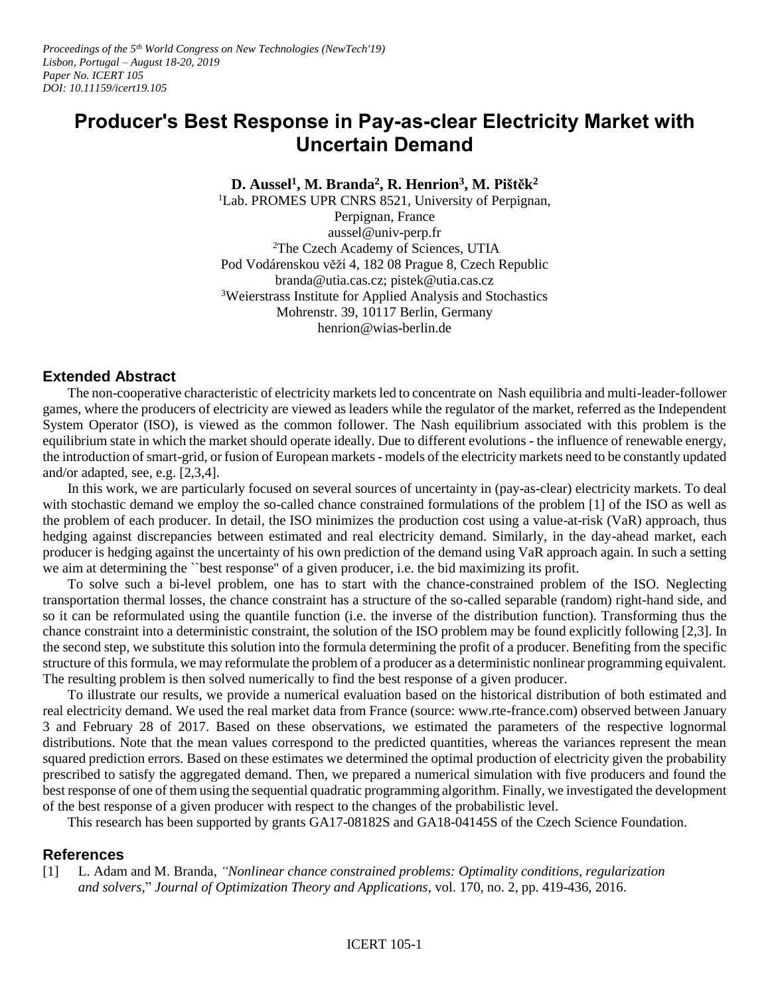*Proceedings of the 5th World Congress on New Technologies (NewTech'19) Lisbon, Portugal – August 18-20, 2019 Paper No. ICERT 105 DOI: 10.11159/icert19.105*

## **Producer's Best Response in Pay-as-clear Electricity Market with Uncertain Demand**

**D. Aussel<sup>1</sup> , M. Branda<sup>2</sup> , R. Henrion<sup>3</sup> , M. Pištěk 2**

<sup>1</sup>Lab. PROMES UPR CNRS 8521, University of Perpignan, Perpignan, France aussel@univ-perp.fr <sup>2</sup>The Czech Academy of Sciences, UTIA Pod Vodárenskou věží 4, 182 08 Prague 8, Czech Republic branda@utia.cas.cz; pistek@utia.cas.cz <sup>3</sup>Weierstrass Institute for Applied Analysis and Stochastics Mohrenstr. 39, 10117 Berlin, Germany henrion@wias-berlin.de

## **Extended Abstract**

The non-cooperative characteristic of electricity markets led to concentrate on Nash equilibria and multi-leader-follower games, where the producers of electricity are viewed as leaders while the regulator of the market, referred as the Independent System Operator (ISO), is viewed as the common follower. The Nash equilibrium associated with this problem is the equilibrium state in which the market should operate ideally. Due to different evolutions - the influence of renewable energy, the introduction of smart-grid, or fusion of European markets - models of the electricity markets need to be constantly updated and/or adapted, see, e.g. [2,3,4].

In this work, we are particularly focused on several sources of uncertainty in (pay-as-clear) electricity markets. To deal with stochastic demand we employ the so-called chance constrained formulations of the problem [1] of the ISO as well as the problem of each producer. In detail, the ISO minimizes the production cost using a value-at-risk (VaR) approach, thus hedging against discrepancies between estimated and real electricity demand. Similarly, in the day-ahead market, each producer is hedging against the uncertainty of his own prediction of the demand using VaR approach again. In such a setting we aim at determining the ``best response'' of a given producer, i.e. the bid maximizing its profit.

To solve such a bi-level problem, one has to start with the chance-constrained problem of the ISO. Neglecting transportation thermal losses, the chance constraint has a structure of the so-called separable (random) right-hand side, and so it can be reformulated using the quantile function (i.e. the inverse of the distribution function). Transforming thus the chance constraint into a deterministic constraint, the solution of the ISO problem may be found explicitly following [2,3]. In the second step, we substitute this solution into the formula determining the profit of a producer. Benefiting from the specific structure of this formula, we may reformulate the problem of a producer as a deterministic nonlinear programming equivalent. The resulting problem is then solved numerically to find the best response of a given producer.

To illustrate our results, we provide a numerical evaluation based on the historical distribution of both estimated and real electricity demand. We used the real market data from France (source: www.rte-france.com) observed between January 3 and February 28 of 2017. Based on these observations, we estimated the parameters of the respective lognormal distributions. Note that the mean values correspond to the predicted quantities, whereas the variances represent the mean squared prediction errors. Based on these estimates we determined the optimal production of electricity given the probability prescribed to satisfy the aggregated demand. Then, we prepared a numerical simulation with five producers and found the best response of one of them using the sequential quadratic programming algorithm. Finally, we investigated the development of the best response of a given producer with respect to the changes of the probabilistic level.

This research has been supported by grants GA17-08182S and GA18-04145S of the Czech Science Foundation.

## **References**

[1] L. Adam and M. Branda, *"Nonlinear chance constrained problems: Optimality conditions, regularization and solvers,*" *Journal of Optimization Theory and Applications*, vol. 170, no. 2, pp. 419-436, 2016.